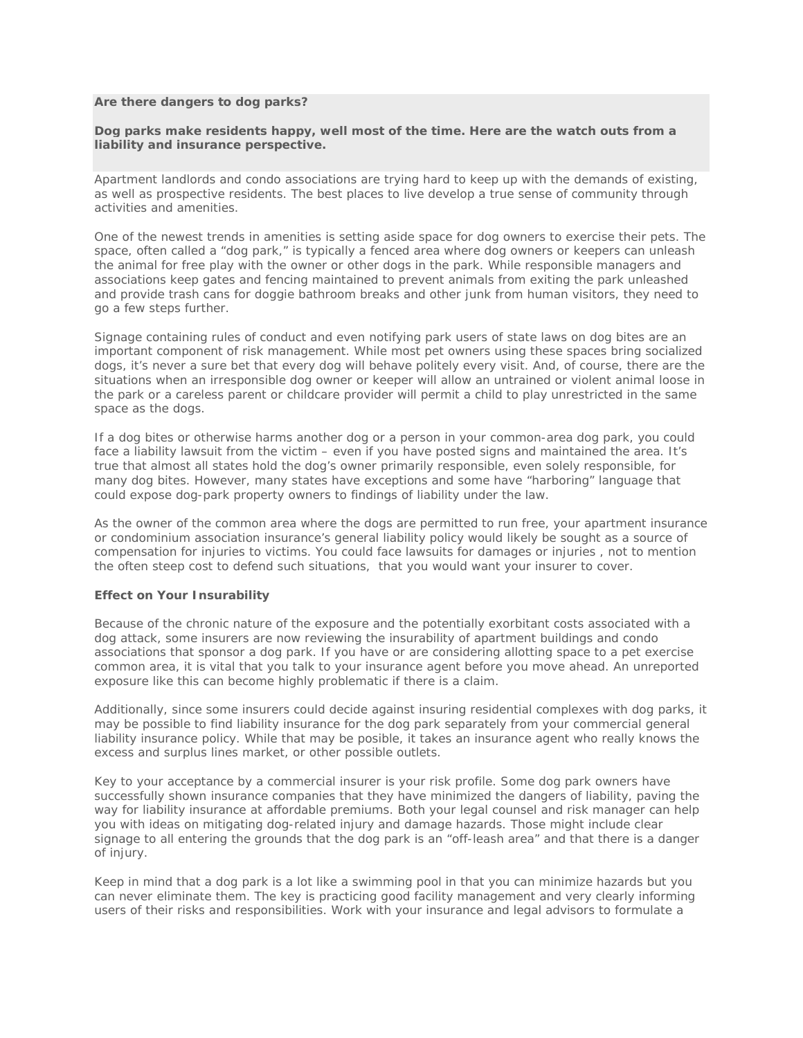## **Are there dangers to dog parks?**

## **Dog parks make residents happy, well most of the time. Here are the watch outs from a liability and insurance perspective.**

Apartment landlords and condo associations are trying hard to keep up with the demands of existing, as well as prospective residents. The best places to live develop a true sense of community through activities and amenities.

One of the newest trends in amenities is setting aside space for dog owners to exercise their pets. The space, often called a "dog park," is typically a fenced area where dog owners or keepers can unleash the animal for free play with the owner or other dogs in the park. While responsible managers and associations keep gates and fencing maintained to prevent animals from exiting the park unleashed and provide trash cans for doggie bathroom breaks and other junk from human visitors, they need to go a few steps further.

Signage containing rules of conduct and even notifying park users of state laws on dog bites are an important component of risk management. While most pet owners using these spaces bring socialized dogs, it's never a sure bet that every dog will behave politely every visit. And, of course, there are the situations when an irresponsible dog owner or keeper will allow an untrained or violent animal loose in the park or a careless parent or childcare provider will permit a child to play unrestricted in the same space as the dogs.

If a dog bites or otherwise harms another dog or a person in your common-area dog park, you could face a liability lawsuit from the victim – even if you have posted signs and maintained the area. It's true that almost all states hold the dog's owner primarily responsible, even solely responsible, for many dog bites. However, many states have exceptions and some have "harboring" language that could expose dog-park property owners to findings of liability under the law.

As the owner of the common area where the dogs are permitted to run free, your apartment insurance or condominium association insurance's general liability policy would likely be sought as a source of compensation for injuries to victims. You could face lawsuits for damages or injuries , not to mention the often steep cost to defend such situations, that you would want your insurer to cover.

## **Effect on Your Insurability**

Because of the chronic nature of the exposure and the potentially exorbitant costs associated with a dog attack, some insurers are now reviewing the insurability of apartment buildings and condo associations that sponsor a dog park. If you have or are considering allotting space to a pet exercise common area, it is vital that you talk to your insurance agent *before you move ahead*. An unreported exposure like this can become highly problematic if there is a claim.

Additionally, since some insurers could decide against insuring residential complexes with dog parks, it may be possible to find liability insurance for the dog park separately from your commercial general liability insurance policy. While that may be posible, it takes an insurance agent who really knows the excess and surplus lines market, or other possible outlets.

Key to your acceptance by a commercial insurer is your risk profile. Some dog park owners have successfully shown insurance companies that they have minimized the dangers of liability, paving the way for liability insurance at affordable premiums. Both your legal counsel and risk manager can help you with ideas on mitigating dog-related injury and damage hazards. Those might include clear signage to all entering the grounds that the dog park is an "off-leash area" and that there is a danger of injury.

Keep in mind that a dog park is a lot like a swimming pool in that you can minimize hazards but you can never eliminate them. The key is practicing good facility management and very clearly informing users of their risks and responsibilities. Work with your insurance and legal advisors to formulate a